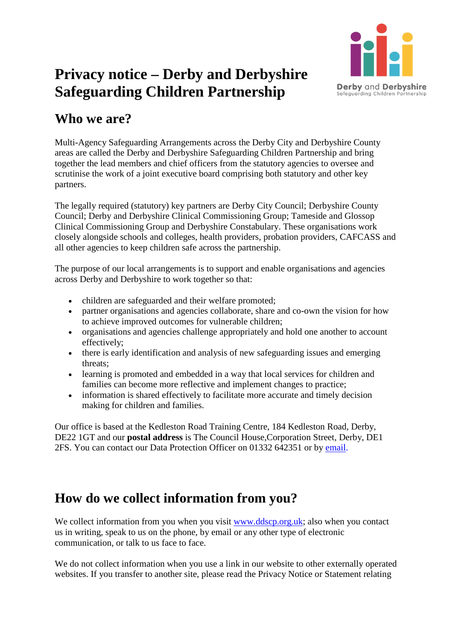

# **Privacy notice – Derby and Derbyshire Safeguarding Children Partnership**

### **Who we are?**

Multi-Agency Safeguarding Arrangements across the Derby City and Derbyshire County areas are called the Derby and Derbyshire Safeguarding Children Partnership and bring together the lead members and chief officers from the statutory agencies to oversee and scrutinise the work of a joint executive board comprising both statutory and other key partners.

The legally required (statutory) key partners are Derby City Council; Derbyshire County Council; Derby and Derbyshire Clinical Commissioning Group; Tameside and Glossop Clinical Commissioning Group and Derbyshire Constabulary. These organisations work closely alongside schools and colleges, health providers, probation providers, CAFCASS and all other agencies to keep children safe across the partnership.

The purpose of our local arrangements is to support and enable organisations and agencies across Derby and Derbyshire to work together so that:

- children are safeguarded and their welfare promoted;
- partner organisations and agencies collaborate, share and co-own the vision for how to achieve improved outcomes for vulnerable children;
- organisations and agencies challenge appropriately and hold one another to account effectively;
- there is early identification and analysis of new safeguarding issues and emerging threats;
- learning is promoted and embedded in a way that local services for children and families can become more reflective and implement changes to practice;
- information is shared effectively to facilitate more accurate and timely decision making for children and families.

Our office is based at the Kedleston Road Training Centre, 184 Kedleston Road, Derby, DE22 1GT and our **postal address** is The Council House,Corporation Street, Derby, DE1 2FS. You can contact our Data Protection Officer on 01332 642351 or by [email.](mailto:ddscp@derby.gov.uk)

## **How do we collect information from you?**

We collect information from you when you visit [www.ddscp.org.uk;](http://www.ddscp.org.uk/) also when you contact us in writing, speak to us on the phone, by email or any other type of electronic communication, or talk to us face to face.

We do not collect information when you use a link in our website to other externally operated websites. If you transfer to another site, please read the Privacy Notice or Statement relating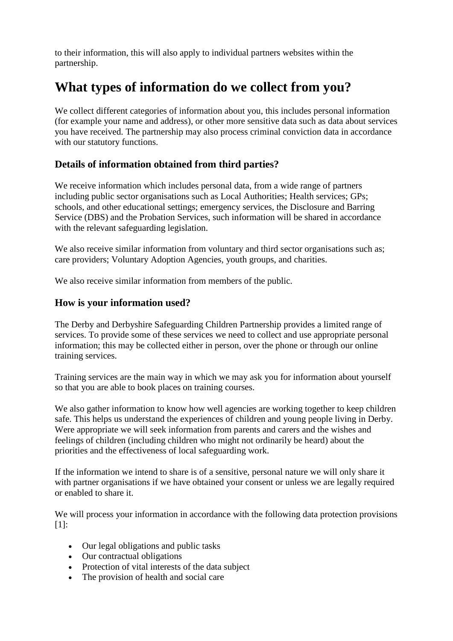to their information, this will also apply to individual partners websites within the partnership.

# **What types of information do we collect from you?**

We collect different categories of information about you, this includes personal information (for example your name and address), or other more sensitive data such as data about services you have received. The partnership may also process criminal conviction data in accordance with our statutory functions.

#### **Details of information obtained from third parties?**

We receive information which includes personal data, from a wide range of partners including public sector organisations such as Local Authorities; Health services; GPs; schools, and other educational settings; emergency services, the Disclosure and Barring Service (DBS) and the Probation Services, such information will be shared in accordance with the relevant safeguarding legislation.

We also receive similar information from voluntary and third sector organisations such as; care providers; Voluntary Adoption Agencies, youth groups, and charities.

We also receive similar information from members of the public.

#### **How is your information used?**

The Derby and Derbyshire Safeguarding Children Partnership provides a limited range of services. To provide some of these services we need to collect and use appropriate personal information; this may be collected either in person, over the phone or through our online training services.

Training services are the main way in which we may ask you for information about yourself so that you are able to book places on training courses.

We also gather information to know how well agencies are working together to keep children safe. This helps us understand the experiences of children and young people living in Derby. Were appropriate we will seek information from parents and carers and the wishes and feelings of children (including children who might not ordinarily be heard) about the priorities and the effectiveness of local safeguarding work.

If the information we intend to share is of a sensitive, personal nature we will only share it with partner organisations if we have obtained your consent or unless we are legally required or enabled to share it.

We will process your information in accordance with the following data protection provisions  $[1]$ :

- Our legal obligations and public tasks
- Our contractual obligations
- Protection of vital interests of the data subject
- The provision of health and social care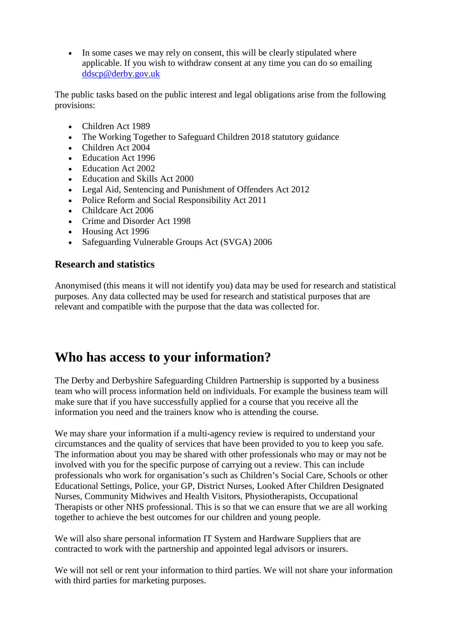• In some cases we may rely on consent, this will be clearly stipulated where applicable. If you wish to withdraw consent at any time you can do so emailing [ddscp@derby.gov.uk](mailto:ddscp@derby.gov.uk)

The public tasks based on the public interest and legal obligations arise from the following provisions:

- Children Act 1989
- The Working Together to Safeguard Children 2018 statutory guidance
- Children Act 2004
- Education Act 1996
- Education Act 2002
- Education and Skills Act 2000
- Legal Aid, Sentencing and Punishment of Offenders Act 2012
- Police Reform and Social Responsibility Act 2011
- Childcare Act 2006
- Crime and Disorder Act 1998
- Housing Act 1996
- Safeguarding Vulnerable Groups Act (SVGA) 2006

#### **Research and statistics**

Anonymised (this means it will not identify you) data may be used for research and statistical purposes. Any data collected may be used for research and statistical purposes that are relevant and compatible with the purpose that the data was collected for.

## **Who has access to your information?**

The Derby and Derbyshire Safeguarding Children Partnership is supported by a business team who will process information held on individuals. For example the business team will make sure that if you have successfully applied for a course that you receive all the information you need and the trainers know who is attending the course.

We may share your information if a multi-agency review is required to understand your circumstances and the quality of services that have been provided to you to keep you safe. The information about you may be shared with other professionals who may or may not be involved with you for the specific purpose of carrying out a review. This can include professionals who work for organisation's such as Children's Social Care, Schools or other Educational Settings, Police, your GP, District Nurses, Looked After Children Designated Nurses, Community Midwives and Health Visitors, Physiotherapists, Occupational Therapists or other NHS professional. This is so that we can ensure that we are all working together to achieve the best outcomes for our children and young people.

We will also share personal information IT System and Hardware Suppliers that are contracted to work with the partnership and appointed legal advisors or insurers.

We will not sell or rent your information to third parties. We will not share your information with third parties for marketing purposes.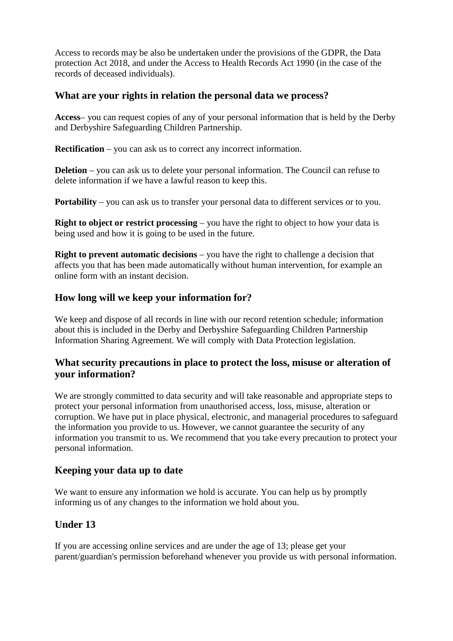Access to records may be also be undertaken under the provisions of the GDPR, the Data protection Act 2018, and under the Access to Health Records Act 1990 (in the case of the records of deceased individuals).

#### **What are your rights in relation the personal data we process?**

**Access**– you can request copies of any of your personal information that is held by the Derby and Derbyshire Safeguarding Children Partnership.

**Rectification** – you can ask us to correct any incorrect information.

**Deletion** – you can ask us to delete your personal information. The Council can refuse to delete information if we have a lawful reason to keep this.

**Portability** – you can ask us to transfer your personal data to different services or to you.

**Right to object or restrict processing** – you have the right to object to how your data is being used and how it is going to be used in the future.

**Right to prevent automatic decisions** – you have the right to challenge a decision that affects you that has been made automatically without human intervention, for example an online form with an instant decision.

#### **How long will we keep your information for?**

We keep and dispose of all records in line with our record retention schedule; information about this is included in the Derby and Derbyshire Safeguarding Children Partnership Information Sharing Agreement. We will comply with Data Protection legislation.

#### **What security precautions in place to protect the loss, misuse or alteration of your information?**

We are strongly committed to data security and will take reasonable and appropriate steps to protect your personal information from unauthorised access, loss, misuse, alteration or corruption. We have put in place physical, electronic, and managerial procedures to safeguard the information you provide to us. However, we cannot guarantee the security of any information you transmit to us. We recommend that you take every precaution to protect your personal information.

#### **Keeping your data up to date**

We want to ensure any information we hold is accurate. You can help us by promptly informing us of any changes to the information we hold about you.

#### **Under 13**

If you are accessing online services and are under the age of 13; please get your parent/guardian's permission beforehand whenever you provide us with personal information.